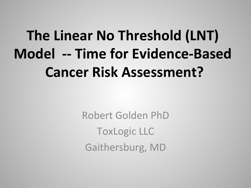## **The Linear No Threshold (LNT) Model** -- Time for Evidence-Based **Cancer Risk Assessment?**

Robert Golden PhD **ToxLogic LLC** Gaithersburg, MD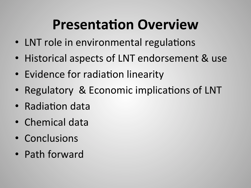## **Presentation Overview**

- LNT role in environmental regulations
- Historical aspects of LNT endorsement & use
- Evidence for radiation linearity
- Regulatory & Economic implications of LNT
- Radiation data
- Chemical data
- Conclusions
- Path forward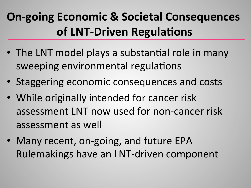## **On-going Economic & Societal Consequences of LNT-Driven Regulations**

- The LNT model plays a substantial role in many sweeping environmental regulations
- Staggering economic consequences and costs
- While originally intended for cancer risk assessment LNT now used for non-cancer risk assessment as well
- Many recent, on-going, and future EPA Rulemakings have an LNT-driven component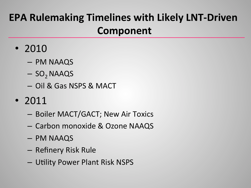### **EPA Rulemaking Timelines with Likely LNT-Driven Component**

- 2010
	- PM NAAQS
	- $-$  SO<sub>2</sub> NAAQS
	- Oil & Gas NSPS & MACT
- 2011
	- Boiler MACT/GACT; New Air Toxics
	- Carbon monoxide & Ozone NAAQS
	- PM NAAQS
	- Refinery Risk Rule
	- $-$  Utility Power Plant Risk NSPS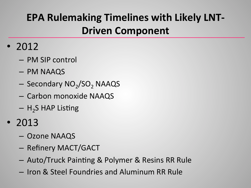### **EPA Rulemaking Timelines with Likely LNT-Driven Component**

- 2012
	- PM SIP control
	- PM NAAQS
	- $-$  Secondary NO<sub>2</sub>/SO<sub>2</sub> NAAQS
	- Carbon monoxide NAAQS
	- $-$  H<sub>2</sub>S HAP Listing
- 2013
	- Ozone NAAQS
	- Refinery MACT/GACT
	- $-$  Auto/Truck Painting & Polymer & Resins RR Rule
	- Iron & Steel Foundries and Aluminum RR Rule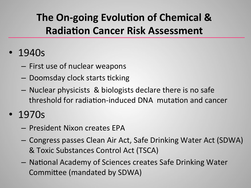### **The On-going Evolution of Chemical & Radiation Cancer Risk Assessment**

#### • 1940s

- $-$  First use of nuclear weapons
- $-$  Doomsday clock starts ticking
- $-$  Nuclear physicists & biologists declare there is no safe threshold for radiation-induced DNA mutation and cancer
- 1970s
	- President Nixon creates EPA
	- Congress passes Clean Air Act, Safe Drinking Water Act (SDWA) & Toxic Substances Control Act (TSCA)
	- $-$  National Academy of Sciences creates Safe Drinking Water Committee (mandated by SDWA)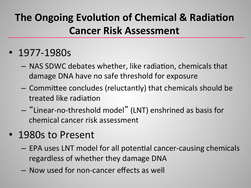### **The Ongoing Evolution of Chemical & Radiation Cancer Risk Assessment**

- 1977-1980s
	- $-$  NAS SDWC debates whether, like radiation, chemicals that damage DNA have no safe threshold for exposure
	- $-$  Committee concludes (reluctantly) that chemicals should be treated like radiation
	- $-$  "Linear-no-threshold model" (LNT) enshrined as basis for chemical cancer risk assessment
- 1980s to Present
	- $-$  EPA uses LNT model for all potential cancer-causing chemicals regardless of whether they damage DNA
	- $-$  Now used for non-cancer effects as well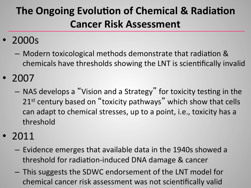### **The Ongoing Evolution of Chemical & Radiation Cancer Risk Assessment**

#### • 2000s

- $-$  Modern toxicological methods demonstrate that radiation & chemicals have thresholds showing the LNT is scientifically invalid
- 2007
	- $-$  NAS develops a "Vision and a Strategy" for toxicity testing in the 21<sup>st</sup> century based on "toxicity pathways" which show that cells can adapt to chemical stresses, up to a point, i.e., toxicity has a threshold
- 2011
	- $-$  Evidence emerges that available data in the 1940s showed a threshold for radiation-induced DNA damage & cancer
	- $-$  This suggests the SDWC endorsement of the LNT model for chemical cancer risk assessment was not scientifically valid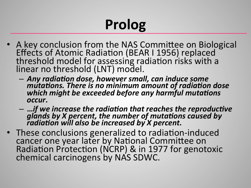# **Prolog**

- A key conclusion from the NAS Committee on Biological Effects of Atomic Radiation (BEAR I 1956) replaced threshold model for assessing radiation risks with a linear no threshold (LNT) model.
	- $-$  Any radiation dose, however small, can induce some *mitations. There is no minimum amount of radiation dose* which might be exceeded before any harmful mutations *occur***.**
	- $-$  …if we increase the radiation that reaches the reproductive glands by X percent, the number of mutations caused by radiation will also be increased by *X* percent.
- These conclusions generalized to radiation-induced cancer one year later by National Committee on Radiation Protection (NCRP) & in 1977 for genotoxic chemical carcinogens by NAS SDWC.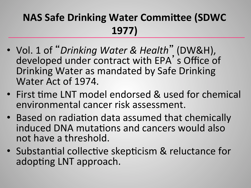#### **NAS Safe Drinking Water Committee (SDWC 1977)**

- Vol. 1 of "Drinking Water & Health" (DW&H), developed under contract with EPA's Office of Drinking Water as mandated by Safe Drinking Water Act of 1974.
- First time LNT model endorsed & used for chemical environmental cancer risk assessment.
- Based on radiation data assumed that chemically induced DNA mutations and cancers would also not have a threshold.
- Substantial collective skepticism & reluctance for adopting LNT approach.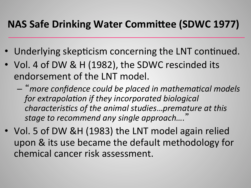#### **NAS Safe Drinking Water Committee (SDWC 1977)**

- Underlying skepticism concerning the LNT continued.
- Vol. 4 of DW & H (1982), the SDWC rescinded its endorsement of the LNT model.
	- $-$  "more confidence could be placed in mathematical models for extrapolation if they incorporated biological *characteristics of the animal studies...premature at this stage to recommend any single approach....*"
- Vol. 5 of DW &H (1983) the LNT model again relied upon & its use became the default methodology for chemical cancer risk assessment.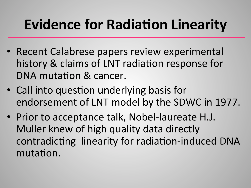## **Evidence for Radiation Linearity**

- Recent Calabrese papers review experimental history & claims of LNT radiation response for DNA mutation & cancer.
- Call into question underlying basis for endorsement of LNT model by the SDWC in 1977.
- Prior to acceptance talk, Nobel-laureate H.J. Muller knew of high quality data directly contradicting linearity for radiation-induced DNA mutation.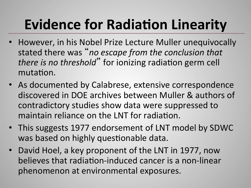## **Evidence for Radiation Linearity**

- However, in his Nobel Prize Lecture Muller unequivocally stated there was "no escape from the conclusion that *there is no threshold*" for ionizing radiation germ cell mutation.
- As documented by Calabrese, extensive correspondence discovered in DOE archives between Muller & authors of contradictory studies show data were suppressed to maintain reliance on the LNT for radiation.
- This suggests 1977 endorsement of LNT model by SDWC was based on highly questionable data.
- David Hoel, a key proponent of the LNT in 1977, now believes that radiation-induced cancer is a non-linear phenomenon at environmental exposures.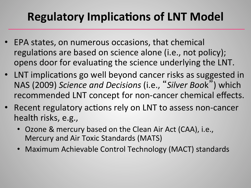## **Regulatory Implications of LNT Model**

- EPA states, on numerous occasions, that chemical regulations are based on science alone (i.e., not policy); opens door for evaluating the science underlying the LNT.
- LNT implications go well beyond cancer risks as suggested in NAS (2009) *Science and Decisions* (i.e., "*Silver Boo*k") which recommended LNT concept for non-cancer chemical effects.
- Recent regulatory actions rely on LNT to assess non-cancer health risks, e.g.,
	- Ozone & mercury based on the Clean Air Act (CAA), i.e., Mercury and Air Toxic Standards (MATS)
	- Maximum Achievable Control Technology (MACT) standards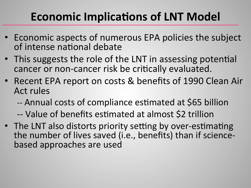## **Economic Implications of LNT Model**

- Economic aspects of numerous EPA policies the subject of intense national debate
- This suggests the role of the LNT in assessing potential cancer or non-cancer risk be critically evaluated.
- Recent EPA report on costs & benefits of 1990 Clean Air Act rules
	- -- Annual costs of compliance estimated at \$65 billion
	- -- Value of benefits estimated at almost \$2 trillion
- The LNT also distorts priority setting by over-estimating the number of lives saved (i.e., benefits) than if sciencebased approaches are used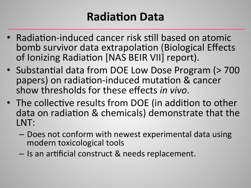## **Radiation Data**

- Radiation-induced cancer risk still based on atomic bomb survivor data extrapolation (Biological Effects of Ionizing Radiation [NAS BEIR VII] report).
- Substantial data from DOE Low Dose Program (> 700 papers) on radiation-induced mutation & cancer show thresholds for these effects *in vivo*.
- The collective results from DOE (in addition to other data on radiation & chemicals) demonstrate that the LNT:
	- Does not conform with newest experimental data using modern toxicological tools
	- $-$  Is an artificial construct & needs replacement.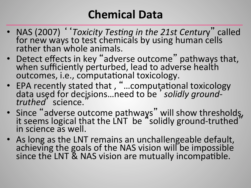### **Chemical Data**

- NAS (2007) *'Toxicity Testing in the 21st Century*" called for new ways to test chemicals by using human cells rather than whole animals.
- Detect effects in key "adverse outcome" pathways that,<br>when sufficiently perturbed, lead to adverse health outcomes, i.e., computational toxicology.
- EPA recently stated that, "...computational toxicology data used for decisions...need to be ' solidly ground-<br>truthed' science.
- Since "adverse outcome pathways" will show thresholds, it seems logical that the LNT be "solidly ground-truthed" in science as well.
- As long as the LNT remains an unchallengeable default, achieving the goals of the NAS vision will be impossible since the LNT & NAS vision are mutually incompatible.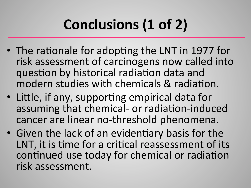# Conclusions (1 of 2)

- The rationale for adopting the LNT in 1977 for risk assessment of carcinogens now called into question by historical radiation data and modern studies with chemicals & radiation.
- Little, if any, supporting empirical data for assuming that chemical- or radiation-induced cancer are linear no-threshold phenomena.
- Given the lack of an evidentiary basis for the LNT, it is time for a critical reassessment of its continued use today for chemical or radiation risk assessment.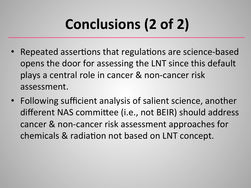# Conclusions (2 of 2)

- Repeated assertions that regulations are science-based opens the door for assessing the LNT since this default plays a central role in cancer & non-cancer risk assessment.
- Following sufficient analysis of salient science, another different NAS committee (i.e., not BEIR) should address cancer & non-cancer risk assessment approaches for chemicals & radiation not based on LNT concept.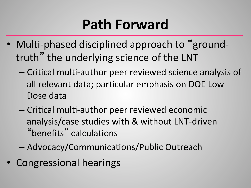## **Path Forward**

- Multi-phased disciplined approach to "groundtruth" the underlying science of the LNT
	- $-$  Critical multi-author peer reviewed science analysis of all relevant data; particular emphasis on DOE Low Dose data
	- Critical multi-author peer reviewed economic analysis/case studies with & without LNT-driven "benefits" calculations
	- $-$  Advocacy/Communications/Public Outreach
- Congressional hearings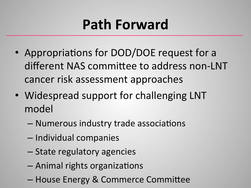## **Path Forward**

- Appropriations for DOD/DOE request for a different NAS committee to address non-LNT cancer risk assessment approaches
- Widespread support for challenging LNT model
	- $-$  Numerous industry trade associations
	- Individual companies
	- State regulatory agencies
	- Animal rights organizations
	- House Energy & Commerce Committee